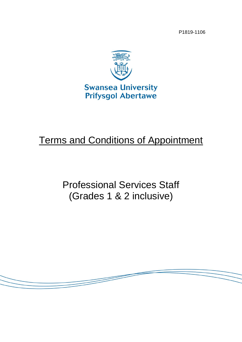P1819-1106



# Terms and Conditions of Appointment

Professional Services Staff (Grades 1 & 2 inclusive)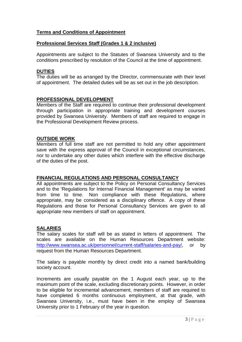## **Terms and Conditions of Appointment**

#### **Professional Services Staff (Grades 1 & 2 inclusive)**

Appointments are subject to the Statutes of Swansea University and to the conditions prescribed by resolution of the Council at the time of appointment.

#### **DUTIES**

The duties will be as arranged by the Director, commensurate with their level of appointment. The detailed duties will be as set out in the job description.

#### **PROFESSIONAL DEVELOPMENT**

Members of the Staff are required to continue their professional development through participation in appropriate training and development courses provided by Swansea University. Members of staff are required to engage in the Professional Development Review process.

#### **OUTSIDE WORK**

Members of full time staff are not permitted to hold any other appointment save with the express approval of the Council in exceptional circumstances, nor to undertake any other duties which interfere with the effective discharge of the duties of the post.

#### **FINANCIAL REGULATIONS AND PERSONAL CONSULTANCY**

All appointments are subject to the Policy on Personal Consultancy Services and to the 'Regulations for Internal Financial Management' as may be varied from time to time. Non compliance with these Regulations, where appropriate, may be considered as a disciplinary offence. A copy of these Regulations and those for Personal Consultancy Services are given to all appropriate new members of staff on appointment.

#### **SALARIES**

The salary scales for staff will be as stated in letters of appointment. The scales are available on the Human Resources Department website: [http://www.swansea.ac.uk/personnel/current-staff/salaries-and-pay/,](http://www.swansea.ac.uk/personnel/current-staff/salaries-and-pay/) or by request from the Human Resources Department.

The salary is payable monthly by direct credit into a named bank/building society account.

Increments are usually payable on the 1 August each year, up to the maximum point of the scale, excluding discretionary points. However, in order to be eligible for incremental advancement, members of staff are required to have completed 6 months continuous employment, at that grade, with Swansea University, i.e., must have been in the employ of Swansea University prior to 1 February of the year in question.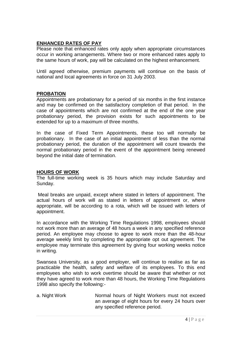## **ENHANCED RATES OF PAY**

Please note that enhanced rates only apply when appropriate circumstances occur in working arrangements. Where two or more enhanced rates apply to the same hours of work, pay will be calculated on the highest enhancement.

Until agreed otherwise, premium payments will continue on the basis of national and local agreements in force on 31 July 2003.

#### **PROBATION**

Appointments are probationary for a period of six months in the first instance and may be confirmed on the satisfactory completion of that period. In the case of appointments which are not confirmed at the end of the one year probationary period, the provision exists for such appointments to be extended for up to a maximum of three months.

In the case of Fixed Term Appointments, these too will normally be probationary. In the case of an initial appointment of less than the normal probationary period, the duration of the appointment will count towards the normal probationary period in the event of the appointment being renewed beyond the initial date of termination.

## **HOURS OF WORK**

The full-time working week is 35 hours which may include Saturday and Sunday.

Meal breaks are unpaid, except where stated in letters of appointment. The actual hours of work will as stated in letters of appointment or, where appropriate, will be according to a rota, which will be issued with letters of appointment.

In accordance with the Working Time Regulations 1998, employees should not work more than an average of 48 hours a week in any specified reference period. An employee may choose to agree to work more than the 48-hour average weekly limit by completing the appropriate opt out agreement. The employee may terminate this agreement by giving four working weeks notice in writing.

Swansea University, as a good employer, will continue to realise as far as practicable the health, safety and welfare of its employees. To this end employees who wish to work overtime should be aware that whether or not they have agreed to work more than 48 hours, the Working Time Regulations 1998 also specify the following:-

a. Night Work **Normal hours of Night Workers must not exceed** an average of eight hours for every 24 hours over any specified reference period.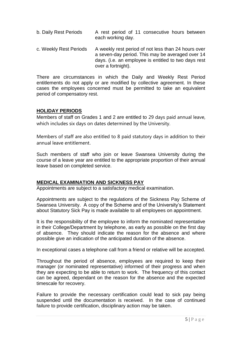- b. Daily Rest Periods A rest period of 11 consecutive hours between each working day.
- c. Weekly Rest Periods A weekly rest period of not less than 24 hours over a seven-day period. This may be averaged over 14 days. (i.e. an employee is entitled to two days rest over a fortnight).

There are circumstances in which the Daily and Weekly Rest Period entitlements do not apply or are modified by collective agreement. In these cases the employees concerned must be permitted to take an equivalent period of compensatory rest.

#### **HOLIDAY PERIODS**

Members of staff on Grades 1 and 2 are entitled to 29 days paid annual leave, which includes six days on dates determined by the University.

Members of staff are also entitled to 8 paid statutory days in addition to their annual leave entitlement.

Such members of staff who join or leave Swansea University during the course of a leave year are entitled to the appropriate proportion of their annual leave based on completed service.

#### **MEDICAL EXAMINATION AND SICKNESS PAY**

Appointments are subject to a satisfactory medical examination.

Appointments are subject to the regulations of the Sickness Pay Scheme of Swansea University. A copy of the Scheme and of the University's Statement about Statutory Sick Pay is made available to all employees on appointment.

It is the responsibility of the employee to inform the nominated representative in their College/Department by telephone, as early as possible on the first day of absence. They should indicate the reason for the absence and where possible give an indication of the anticipated duration of the absence.

In exceptional cases a telephone call from a friend or relative will be accepted.

Throughout the period of absence, employees are required to keep their manager (or nominated representative) informed of their progress and when they are expecting to be able to return to work. The frequency of this contact can be agreed, dependant on the reason for the absence and the expected timescale for recovery.

Failure to provide the necessary certification could lead to sick pay being suspended until the documentation is received. In the case of continued failure to provide certification, disciplinary action may be taken.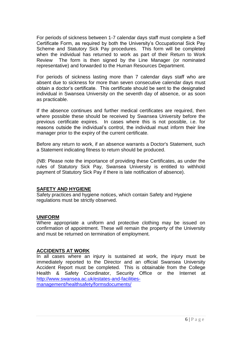For periods of sickness between 1-7 calendar days staff must complete a Self Certificate Form, as required by both the University's Occupational Sick Pay Scheme and Statutory Sick Pay procedures. This form will be completed when the individual has returned to work as part of their Return to Work Review The form is then signed by the Line Manager (or nominated representative) and forwarded to the Human Resources Department.

For periods of sickness lasting more than 7 calendar days staff who are absent due to sickness for more than seven consecutive calendar days must obtain a doctor's certificate. This certificate should be sent to the designated individual in Swansea University on the seventh day of absence, or as soon as practicable.

If the absence continues and further medical certificates are required, then where possible these should be received by Swansea University before the previous certificate expires. In cases where this is not possible, i.e. for reasons outside the individual's control, the individual must inform their line manager prior to the expiry of the current certificate.

Before any return to work, if an absence warrants a Doctor's Statement, such a Statement indicating fitness to return should be produced.

(NB: Please note the importance of providing these Certificates, as under the rules of Statutory Sick Pay, Swansea University is entitled to withhold payment of Statutory Sick Pay if there is late notification of absence).

#### **SAFETY AND HYGIENE**

Safety practices and hygiene notices, which contain Safety and Hygiene regulations must be strictly observed.

#### **UNIFORM**

Where appropriate a uniform and protective clothing may be issued on confirmation of appointment. These will remain the property of the University and must be returned on termination of employment.

#### **ACCIDENTS AT WORK**

In all cases where an injury is sustained at work, the injury must be immediately reported to the Director and an official Swansea University Accident Report must be completed. This is obtainable from the College Health & Safety Coordinator, Security Office or the Internet at [http://www.swansea.ac.uk/estates-and-facilities](http://www.swansea.ac.uk/estates-and-facilities-management/healthsafety/formsdocuments/)[management/healthsafety/formsdocuments/](http://www.swansea.ac.uk/estates-and-facilities-management/healthsafety/formsdocuments/)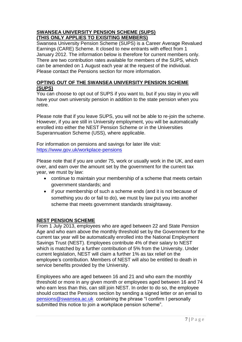## **SWANSEA UNIVERSITY PENSION SCHEME (SUPS) (THIS ONLY APPLIES TO EXISITING MEMBERS)**

Swansea University Pension Scheme (SUPS) is a Career Average Revalued Earnings (CARE) Scheme. It closed to new entrants with effect from 1 January 2012. The information below is therefore for current members only. There are two contribution rates available for members of the SUPS, which can be amended on 1 August each year at the request of the individual. Please contact the Pensions section for more information.

## **OPTING OUT OF THE SWANSEA UNIVERSITY PENSION SCHEME (SUPS)**

You can choose to opt out of SUPS if you want to, but if you stay in you will have your own university pension in addition to the state pension when you retire.

Please note that if you leave SUPS, you will not be able to re-join the scheme. However, if you are still in University employment, you will be automatically enrolled into either the NEST Pension Scheme or in the Universities Superannuation Scheme (USS), where applicable.

For information on pensions and savings for later life visit: <https://www.gov.uk/workplace-pensions>

Please note that if you are under 75, work or usually work in the UK, and earn over, and earn over the amount set by the government for the current tax year, we must by law:

- continue to maintain your membership of a scheme that meets certain government standards; and
- if your membership of such a scheme ends (and it is not because of something you do or fail to do), we must by law put you into another scheme that meets government standards straightaway.

# **NEST PENSION SCHEME**

From 1 July 2013, employees who are aged between 22 and State Pension Age and who earn above the monthly threshold set by the Government for the current tax year will be automatically enrolled into the National Employment Savings Trust (NEST). Employees contribute 4% of their salary to NEST which is matched by a further contribution of 5% from the University. Under current legislation, NEST will claim a further 1% as tax relief on the employee's contribution. Members of NEST will also be entitled to death in service benefits provided by the University.

Employees who are aged between 16 and 21 and who earn the monthly threshold or more in any given month or employees aged between 16 and 74 who earn less than this, can still join NEST. In order to do so, the employee should contact the Pensions section by sending a signed letter or an email to [pensions@swansea.ac.uk](mailto:pensions@swansea.ac.uk) containing the phrase "I confirm I personally submitted this notice to join a workplace pension scheme".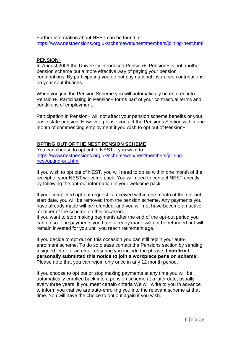Further information about NEST can be found at: <https://www.nestpensions.org.uk/schemeweb/nest/members/joining-nest.html>

#### **PENSION+**

In August 2009 the University introduced Pension+. Pension+ is not another pension scheme but a more effective way of paying your pension contributions. By participating you do not pay national insurance contributions on your contributions.

When you join the Pension Scheme you will automatically be entered into Pension+. Participating in Pension+ forms part of your contractual terms and conditions of employment.

Participation in Pension+ will not affect your pension scheme benefits or your basic state pension. However, please contact the Pensions Section within one month of commencing employment if you wish to opt out of Pension+.

# **OPTING OUT OF THE NEST PENSION SCHEME**

You can choose to opt out of NEST if you want to: [https://www.nestpensions.org.uk/schemeweb/nest/members/joining](https://www.nestpensions.org.uk/schemeweb/nest/members/joining-nest/opting-out.html)[nest/opting-out.html](https://www.nestpensions.org.uk/schemeweb/nest/members/joining-nest/opting-out.html)

If you wish to opt out of NEST, you will need to do so within one month of the receipt of your NEST welcome pack. You will need to contact NEST directly by following the opt-out information in your welcome pack.

If your completed opt-out request is received within one month of the opt-out start date, you will be removed from the pension scheme. Any payments you have already made will be refunded, and you will not have become an active member of the scheme on this occasion.

If you want to stop making payments after the end of the opt-out period you can do so. The payments you have already made will not be refunded but will remain invested for you until you reach retirement age.

If you decide to opt out on this occasion you can still rejoin your autoenrolment scheme. To do so please contact the Pensions section by sending a signed letter or an email ensuring you include the phrase **'I confirm I personally submitted this notice to join a workplace pension scheme'**. Please note that you can rejoin only once in any 12 month period.

If you choose to opt out or stop making payments at any time you will be automatically enrolled back into a pension scheme at a later date, usually every three years, if you meet certain criteria We will write to you in advance to inform you that we are auto-enrolling you into the relevant scheme at that time. You will have the choice to opt out again if you wish.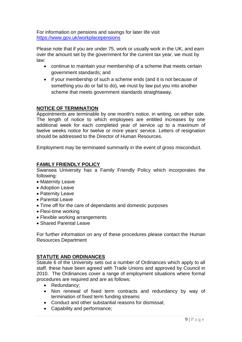For information on pensions and savings for later life visit <https://www.gov.uk/workplacepensions>

Please note that if you are under 75, work or usually work in the UK, and earn over the amount set by the government for the current tax year, we must by law:

- continue to maintain your membership of a scheme that meets certain government standards; and
- if your membership of such a scheme ends (and it is not because of something you do or fail to do), we must by law put you into another scheme that meets government standards straightaway.

## **NOTICE OF TERMINATION**

Appointments are terminable by one month's notice, in writing, on either side. The length of notice to which employees are entitled increases by one additional week for each completed year of service up to a maximum of twelve weeks notice for twelve or more years' service. Letters of resignation should be addressed to the Director of Human Resources.

Employment may be terminated summarily in the event of gross misconduct.

#### **FAMILY FRIENDLY POLICY**

Swansea University has a Family Friendly Policy which incorporates the following:

- Maternity Leave
- Adoption Leave
- Paternity Leave
- Parental Leave
- Time off for the care of dependants and domestic purposes
- Flexi-time working
- Flexible working arrangements
- Shared Parental Leave

For further information on any of these procedures please contact the Human Resources Department

#### **STATUTE AND ORDINANCES**

Statute 6 of the University sets out a number of Ordinances which apply to all staff, these have been agreed with Trade Unions and approved by Council in 2010. The Ordinances cover a range of employment situations where formal procedures are required and are as follows:

- Redundancy;
- Non renewal of fixed term contracts and redundancy by way of termination of fixed term funding streams
- Conduct and other substantial reasons for dismissal;
- Capability and performance;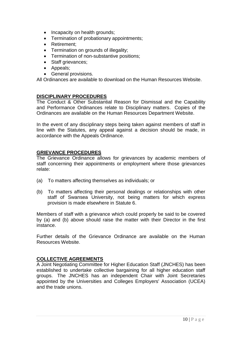- Incapacity on health grounds;
- Termination of probationary appointments;
- Retirement:
- Termination on grounds of illegality;
- Termination of non-substantive positions;
- Staff grievances:
- Appeals;
- General provisions.

All Ordinances are available to download on the Human Resources Website.

#### **DISCIPLINARY PROCEDURES**

The Conduct & Other Substantial Reason for Dismissal and the Capability and Performance Ordinances relate to Disciplinary matters. Copies of the Ordinances are available on the Human Resources Department Website.

In the event of any disciplinary steps being taken against members of staff in line with the Statutes, any appeal against a decision should be made, in accordance with the Appeals Ordinance.

#### **GRIEVANCE PROCEDURES**

The Grievance Ordinance allows for grievances by academic members of staff concerning their appointments or employment where those grievances relate:

- (a) To matters affecting themselves as individuals; or
- (b) To matters affecting their personal dealings or relationships with other staff of Swansea University, not being matters for which express provision is made elsewhere in Statute 6.

Members of staff with a grievance which could properly be said to be covered by (a) and (b) above should raise the matter with their Director in the first instance.

Further details of the Grievance Ordinance are available on the Human Resources Website.

#### **COLLECTIVE AGREEMENTS**

A Joint Negotiating Committee for Higher Education Staff (JNCHES) has been established to undertake collective bargaining for all higher education staff groups. The JNCHES has an independent Chair with Joint Secretaries appointed by the Universities and Colleges Employers' Association (UCEA) and the trade unions.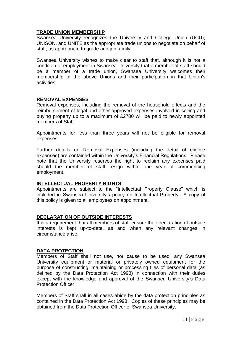## **TRADE UNION MEMBERSHIP**

Swansea University recognizes the University and College Union (UCU), UNISON, and UNITE as the appropriate trade unions to negotiate on behalf of staff, as appropriate to grade and job family.

Swansea University wishes to make clear to staff that, although it is not a condition of employment in Swansea University that a member of staff should be a member of a trade union, Swansea University welcomes their membership of the above Unions and their participation in that Union's activities.

#### **REMOVAL EXPENSES**

Removal expenses, including the removal of the household effects and the reimbursement of legal and other approved expenses involved in selling and buying property up to a maximum of £2700 will be paid to newly appointed members of Staff.

Appointments for less than three years will not be eligible for removal expenses.

Further details on Removal Expenses (including the detail of eligible expenses) are contained within the University's Financial Regulations. Please note that the University reserves the right to reclaim any expenses paid should the member of staff resign within one year of commencing employment.

# **INTELLECTUAL PROPERTY RIGHTS**

Appointments are subject to the "Intellectual Property Clause" which is included in Swansea University's policy on Intellectual Property. A copy of this policy is given to all employees on appointment.

#### **DECLARATION OF OUTSIDE INTERESTS**

It is a requirement that all members of staff ensure their declaration of outside interests is kept up-to-date, as and when any relevant changes in circumstance arise.

#### **DATA PROTECTION**

Members of Staff shall not use, nor cause to be used, any Swansea University equipment or material or privately owned equipment for the purpose of constructing, maintaining or processing files of personal data (as defined by the Data Protection Act 1998) in connection with their duties except with the knowledge and approval of the Swansea University's Data Protection Officer.

Members of Staff shall in all cases abide by the data protection principles as contained in the Data Protection Act 1998. Copies of these principles may be obtained from the Data Protection Officer of Swansea University.